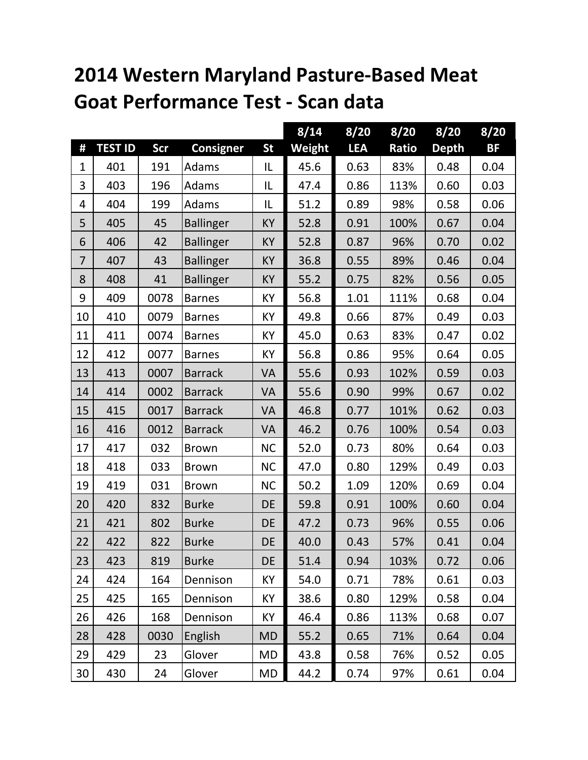## **2014 Western Maryland Pasture-Based Meat Goat Performance Test - Scan data**

|                |                |            |                  |           | 8/14   | 8/20       | 8/20  | 8/20         | 8/20      |
|----------------|----------------|------------|------------------|-----------|--------|------------|-------|--------------|-----------|
| #              | <b>TEST ID</b> | <b>Scr</b> | <b>Consigner</b> | <b>St</b> | Weight | <b>LEA</b> | Ratio | <b>Depth</b> | <b>BF</b> |
| 1              | 401            | 191        | Adams            | IL        | 45.6   | 0.63       | 83%   | 0.48         | 0.04      |
| 3              | 403            | 196        | Adams            | IL        | 47.4   | 0.86       | 113%  | 0.60         | 0.03      |
| 4              | 404            | 199        | Adams            | IL        | 51.2   | 0.89       | 98%   | 0.58         | 0.06      |
| 5              | 405            | 45         | <b>Ballinger</b> | <b>KY</b> | 52.8   | 0.91       | 100%  | 0.67         | 0.04      |
| 6              | 406            | 42         | <b>Ballinger</b> | <b>KY</b> | 52.8   | 0.87       | 96%   | 0.70         | 0.02      |
| $\overline{7}$ | 407            | 43         | <b>Ballinger</b> | KY        | 36.8   | 0.55       | 89%   | 0.46         | 0.04      |
| 8              | 408            | 41         | <b>Ballinger</b> | <b>KY</b> | 55.2   | 0.75       | 82%   | 0.56         | 0.05      |
| 9              | 409            | 0078       | <b>Barnes</b>    | KY        | 56.8   | 1.01       | 111%  | 0.68         | 0.04      |
| 10             | 410            | 0079       | <b>Barnes</b>    | KY        | 49.8   | 0.66       | 87%   | 0.49         | 0.03      |
| 11             | 411            | 0074       | <b>Barnes</b>    | KY        | 45.0   | 0.63       | 83%   | 0.47         | 0.02      |
| 12             | 412            | 0077       | <b>Barnes</b>    | KY        | 56.8   | 0.86       | 95%   | 0.64         | 0.05      |
| 13             | 413            | 0007       | <b>Barrack</b>   | VA        | 55.6   | 0.93       | 102%  | 0.59         | 0.03      |
| 14             | 414            | 0002       | <b>Barrack</b>   | VA        | 55.6   | 0.90       | 99%   | 0.67         | 0.02      |
| 15             | 415            | 0017       | <b>Barrack</b>   | VA        | 46.8   | 0.77       | 101%  | 0.62         | 0.03      |
| 16             | 416            | 0012       | <b>Barrack</b>   | VA        | 46.2   | 0.76       | 100%  | 0.54         | 0.03      |
| 17             | 417            | 032        | <b>Brown</b>     | <b>NC</b> | 52.0   | 0.73       | 80%   | 0.64         | 0.03      |
| 18             | 418            | 033        | <b>Brown</b>     | <b>NC</b> | 47.0   | 0.80       | 129%  | 0.49         | 0.03      |
| 19             | 419            | 031        | <b>Brown</b>     | <b>NC</b> | 50.2   | 1.09       | 120%  | 0.69         | 0.04      |
| 20             | 420            | 832        | <b>Burke</b>     | DE        | 59.8   | 0.91       | 100%  | 0.60         | 0.04      |
| 21             | 421            | 802        | <b>Burke</b>     | DE        | 47.2   | 0.73       | 96%   | 0.55         | 0.06      |
| 22             | 422            | 822        | <b>Burke</b>     | DE        | 40.0   | 0.43       | 57%   | 0.41         | 0.04      |
| 23             | 423            | 819        | <b>Burke</b>     | <b>DE</b> | 51.4   | 0.94       | 103%  | 0.72         | 0.06      |
| 24             | 424            | 164        | Dennison         | KY        | 54.0   | 0.71       | 78%   | 0.61         | 0.03      |
| 25             | 425            | 165        | Dennison         | KY        | 38.6   | 0.80       | 129%  | 0.58         | 0.04      |
| 26             | 426            | 168        | Dennison         | KY        | 46.4   | 0.86       | 113%  | 0.68         | 0.07      |
| 28             | 428            | 0030       | English          | <b>MD</b> | 55.2   | 0.65       | 71%   | 0.64         | 0.04      |
| 29             | 429            | 23         | Glover           | <b>MD</b> | 43.8   | 0.58       | 76%   | 0.52         | 0.05      |
| 30             | 430            | 24         | Glover           | <b>MD</b> | 44.2   | 0.74       | 97%   | 0.61         | 0.04      |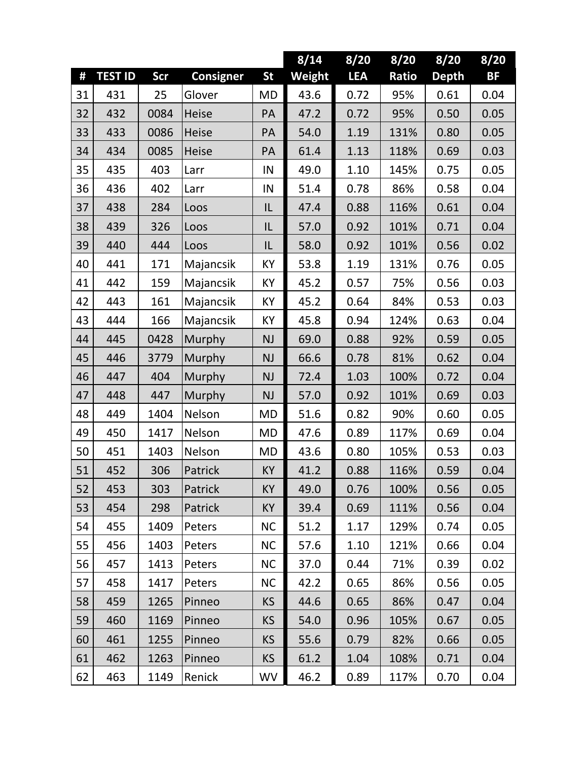|    |                |      |                  |           | 8/14   | 8/20       | 8/20  | 8/20         | 8/20 |
|----|----------------|------|------------------|-----------|--------|------------|-------|--------------|------|
| #  | <b>TEST ID</b> | Scr  | <b>Consigner</b> | <b>St</b> | Weight | <b>LEA</b> | Ratio | <b>Depth</b> | BF   |
| 31 | 431            | 25   | Glover           | <b>MD</b> | 43.6   | 0.72       | 95%   | 0.61         | 0.04 |
| 32 | 432            | 0084 | <b>Heise</b>     | PA        | 47.2   | 0.72       | 95%   | 0.50         | 0.05 |
| 33 | 433            | 0086 | <b>Heise</b>     | PA        | 54.0   | 1.19       | 131%  | 0.80         | 0.05 |
| 34 | 434            | 0085 | Heise            | PA        | 61.4   | 1.13       | 118%  | 0.69         | 0.03 |
| 35 | 435            | 403  | Larr             | IN        | 49.0   | 1.10       | 145%  | 0.75         | 0.05 |
| 36 | 436            | 402  | Larr             | IN        | 51.4   | 0.78       | 86%   | 0.58         | 0.04 |
| 37 | 438            | 284  | Loos             | IL        | 47.4   | 0.88       | 116%  | 0.61         | 0.04 |
| 38 | 439            | 326  | Loos             | IL        | 57.0   | 0.92       | 101%  | 0.71         | 0.04 |
| 39 | 440            | 444  | Loos             | IL        | 58.0   | 0.92       | 101%  | 0.56         | 0.02 |
| 40 | 441            | 171  | Majancsik        | KY        | 53.8   | 1.19       | 131%  | 0.76         | 0.05 |
| 41 | 442            | 159  | Majancsik        | KY        | 45.2   | 0.57       | 75%   | 0.56         | 0.03 |
| 42 | 443            | 161  | Majancsik        | ΚY        | 45.2   | 0.64       | 84%   | 0.53         | 0.03 |
| 43 | 444            | 166  | Majancsik        | KY        | 45.8   | 0.94       | 124%  | 0.63         | 0.04 |
| 44 | 445            | 0428 | Murphy           | <b>NJ</b> | 69.0   | 0.88       | 92%   | 0.59         | 0.05 |
| 45 | 446            | 3779 | Murphy           | <b>NJ</b> | 66.6   | 0.78       | 81%   | 0.62         | 0.04 |
| 46 | 447            | 404  | Murphy           | <b>NJ</b> | 72.4   | 1.03       | 100%  | 0.72         | 0.04 |
| 47 | 448            | 447  | Murphy           | <b>NJ</b> | 57.0   | 0.92       | 101%  | 0.69         | 0.03 |
| 48 | 449            | 1404 | Nelson           | <b>MD</b> | 51.6   | 0.82       | 90%   | 0.60         | 0.05 |
| 49 | 450            | 1417 | Nelson           | <b>MD</b> | 47.6   | 0.89       | 117%  | 0.69         | 0.04 |
| 50 | 451            | 1403 | Nelson           | <b>MD</b> | 43.6   | 0.80       | 105%  | 0.53         | 0.03 |
| 51 | 452            | 306  | Patrick          | <b>KY</b> | 41.2   | 0.88       | 116%  | 0.59         | 0.04 |
| 52 | 453            | 303  | Patrick          | <b>KY</b> | 49.0   | 0.76       | 100%  | 0.56         | 0.05 |
| 53 | 454            | 298  | Patrick          | <b>KY</b> | 39.4   | 0.69       | 111%  | 0.56         | 0.04 |
| 54 | 455            | 1409 | Peters           | <b>NC</b> | 51.2   | 1.17       | 129%  | 0.74         | 0.05 |
| 55 | 456            | 1403 | Peters           | <b>NC</b> | 57.6   | 1.10       | 121%  | 0.66         | 0.04 |
| 56 | 457            | 1413 | Peters           | <b>NC</b> | 37.0   | 0.44       | 71%   | 0.39         | 0.02 |
| 57 | 458            | 1417 | Peters           | <b>NC</b> | 42.2   | 0.65       | 86%   | 0.56         | 0.05 |
| 58 | 459            | 1265 | Pinneo           | <b>KS</b> | 44.6   | 0.65       | 86%   | 0.47         | 0.04 |
| 59 | 460            | 1169 | Pinneo           | <b>KS</b> | 54.0   | 0.96       | 105%  | 0.67         | 0.05 |
| 60 | 461            | 1255 | Pinneo           | <b>KS</b> | 55.6   | 0.79       | 82%   | 0.66         | 0.05 |
| 61 | 462            | 1263 | Pinneo           | <b>KS</b> | 61.2   | 1.04       | 108%  | 0.71         | 0.04 |
| 62 | 463            | 1149 | Renick           | WV        | 46.2   | 0.89       | 117%  | 0.70         | 0.04 |